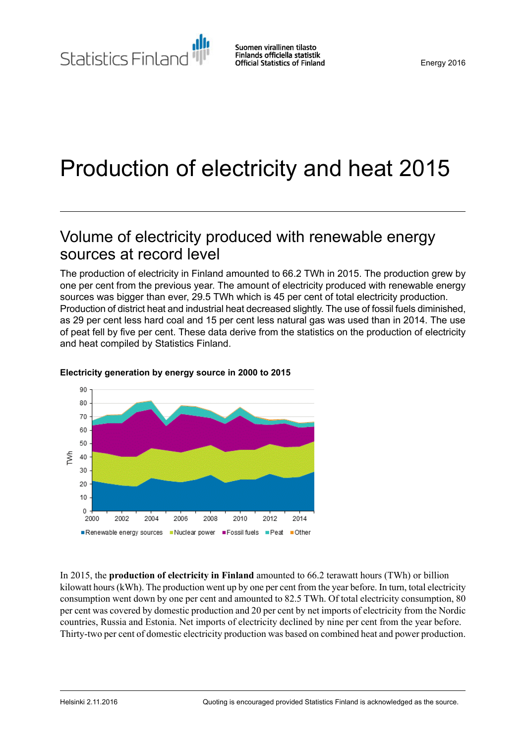# Production of electricity and heat 2015

## Volume of electricity produced with renewable energy sources at record level

The production of electricity in Finland amounted to 66.2 TWh in 2015. The production grew by one per cent from the previous year. The amount of electricity produced with renewable energy sources was bigger than ever, 29.5 TWh which is 45 per cent of total electricity production. Production of district heat and industrial heat decreased slightly. The use of fossil fuels diminished, as 29 per cent less hard coal and 15 per cent less natural gas was used than in 2014. The use of peat fell by five per cent. These data derive from the statistics on the production of electricity and heat compiled by Statistics Finland.



#### **Electricity generation by energy source in 2000 to 2015**

In 2015, the **production of electricity in Finland** amounted to 66.2 terawatt hours (TWh) or billion kilowatt hours(kWh). The production went up by one per cent from the year before. In turn, total electricity consumption went down by one per cent and amounted to 82.5 TWh. Of total electricity consumption, 80 per cent was covered by domestic production and 20 per cent by net imports of electricity from the Nordic countries, Russia and Estonia. Net imports of electricity declined by nine per cent from the year before. Thirty-two per cent of domestic electricity production was based on combined heat and power production.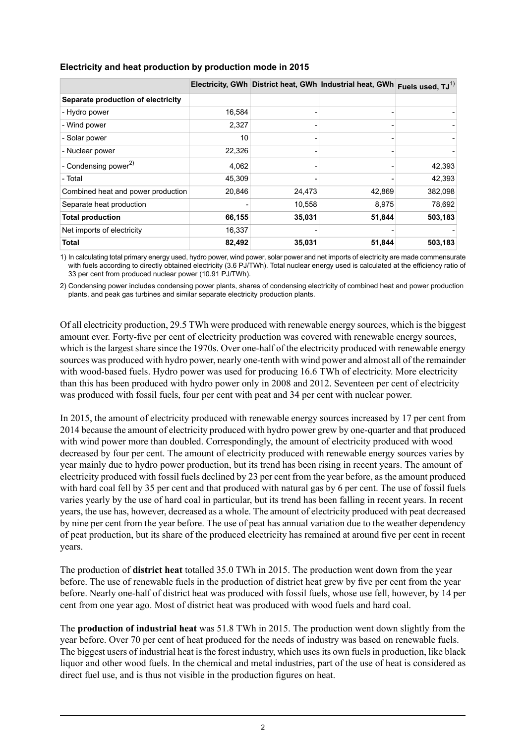|                                    |        |        | Electricity, GWh District heat, GWh Industrial heat, GWh | Fuels used, $TJ^{(1)}$ |
|------------------------------------|--------|--------|----------------------------------------------------------|------------------------|
| Separate production of electricity |        |        |                                                          |                        |
| - Hydro power                      | 16,584 |        |                                                          |                        |
| - Wind power                       | 2,327  |        |                                                          |                        |
| - Solar power                      | 10     |        |                                                          |                        |
| - Nuclear power                    | 22,326 |        |                                                          |                        |
| - Condensing power <sup>2)</sup>   | 4,062  |        |                                                          | 42,393                 |
| - Total                            | 45,309 |        |                                                          | 42,393                 |
| Combined heat and power production | 20,846 | 24,473 | 42,869                                                   | 382,098                |
| Separate heat production           |        | 10,558 | 8,975                                                    | 78,692                 |
| <b>Total production</b>            | 66,155 | 35,031 | 51,844                                                   | 503,183                |
| Net imports of electricity         | 16,337 |        |                                                          |                        |
| <b>Total</b>                       | 82,492 | 35,031 | 51,844                                                   | 503,183                |

### **Electricity and heat production by production mode in 2015**

1) In calculating total primary energy used, hydro power, wind power, solar power and net imports of electricity are made commensurate with fuels according to directly obtained electricity (3.6 PJ/TWh). Total nuclear energy used is calculated at the efficiency ratio of 33 per cent from produced nuclear power (10.91 PJ/TWh).

2) Condensing power includes condensing power plants, shares of condensing electricity of combined heat and power production plants, and peak gas turbines and similar separate electricity production plants.

Of all electricity production, 29.5 TWh were produced with renewable energy sources, which isthe biggest amount ever. Forty-five per cent of electricity production was covered with renewable energy sources, which is the largest share since the 1970s. Over one-half of the electricity produced with renewable energy sources was produced with hydro power, nearly one-tenth with wind power and almost all of the remainder with wood-based fuels. Hydro power was used for producing 16.6 TWh of electricity. More electricity than this has been produced with hydro power only in 2008 and 2012. Seventeen per cent of electricity was produced with fossil fuels, four per cent with peat and 34 per cent with nuclear power.

In 2015, the amount of electricity produced with renewable energy sources increased by 17 per cent from 2014 because the amount of electricity produced with hydro power grew by one-quarter and that produced with wind power more than doubled. Correspondingly, the amount of electricity produced with wood decreased by four per cent. The amount of electricity produced with renewable energy sources varies by year mainly due to hydro power production, but its trend has been rising in recent years. The amount of electricity produced with fossil fuels declined by 23 per cent from the year before, as the amount produced with hard coal fell by 35 per cent and that produced with natural gas by 6 per cent. The use of fossil fuels varies yearly by the use of hard coal in particular, but its trend has been falling in recent years. In recent years, the use has, however, decreased as a whole. The amount of electricity produced with peat decreased by nine per cent from the year before. The use of peat has annual variation due to the weather dependency of peat production, but its share of the produced electricity has remained at around five per cent in recent years.

The production of **district heat** totalled 35.0 TWh in 2015. The production went down from the year before. The use of renewable fuels in the production of district heat grew by five per cent from the year before. Nearly one-half of district heat was produced with fossil fuels, whose use fell, however, by 14 per cent from one year ago. Most of district heat was produced with wood fuels and hard coal.

The **production of industrial heat** was 51.8 TWh in 2015. The production went down slightly from the year before. Over 70 per cent of heat produced for the needs of industry was based on renewable fuels. The biggest users of industrial heat is the forest industry, which uses its own fuels in production, like black liquor and other wood fuels. In the chemical and metal industries, part of the use of heat is considered as direct fuel use, and is thus not visible in the production figures on heat.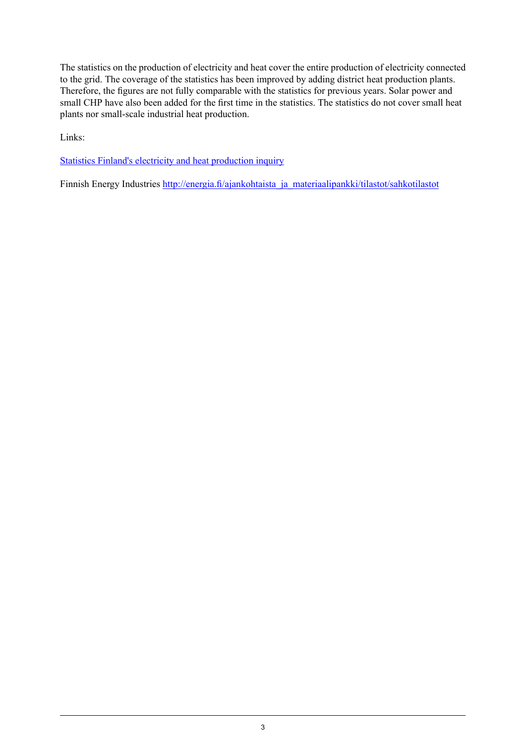The statistics on the production of electricity and heat cover the entire production of electricity connected to the grid. The coverage of the statistics has been improved by adding district heat production plants. Therefore, the figures are not fully comparable with the statistics for previous years. Solar power and small CHP have also been added for the first time in the statistics. The statistics do not cover small heat plants nor small-scale industrial heat production.

Links:

Statistics Finland's electricity and heat [production](http://www.stat.fi/keruu/ene/) inquiry

Finnish Energy Industries [http://energia.fi/ajankohtaista\\_ja\\_materiaalipankki/tilastot/sahkotilastot](http://energia.fi/ajankohtaista_ja_materiaalipankki/tilastot/sahkotilastot)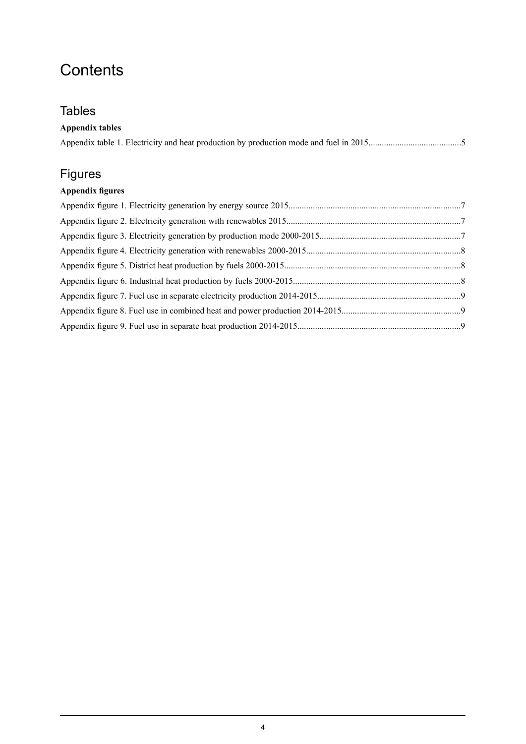## **Contents**

## **Tables**

### **Appendix tables**

## Figures

## **Appendix figures**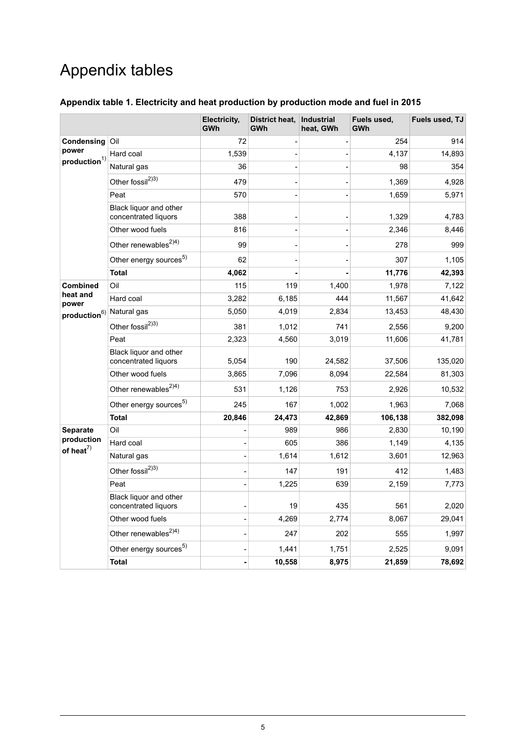## Appendix tables

### <span id="page-4-0"></span>**Appendix table 1. Electricity and heat production by production mode and fuel in 2015**

|                                                       |                                                | Electricity,<br><b>GWh</b> | District heat,<br>GWh | <b>Industrial</b><br>heat, GWh | Fuels used,<br>GWh | Fuels used, TJ |
|-------------------------------------------------------|------------------------------------------------|----------------------------|-----------------------|--------------------------------|--------------------|----------------|
| Condensing<br>power<br>$\boldsymbol{production}^{1)}$ | Oil                                            | 72                         |                       |                                | 254                | 914            |
|                                                       | Hard coal                                      | 1,539                      |                       |                                | 4,137              | 14,893         |
|                                                       | Natural gas                                    | 36                         |                       |                                | 98                 | 354            |
|                                                       | Other fossil <sup>2)3)</sup>                   | 479                        |                       |                                | 1,369              | 4,928          |
|                                                       | Peat                                           | 570                        |                       |                                | 1,659              | 5,971          |
|                                                       | Black liquor and other<br>concentrated liquors | 388                        |                       |                                | 1,329              | 4,783          |
|                                                       | Other wood fuels                               | 816                        |                       |                                | 2,346              | 8,446          |
|                                                       | Other renewables <sup>2)4)</sup>               | 99                         |                       |                                | 278                | 999            |
|                                                       | Other energy sources <sup>5)</sup>             | 62                         |                       |                                | 307                | 1,105          |
|                                                       | <b>Total</b>                                   | 4,062                      |                       |                                | 11,776             | 42,393         |
| <b>Combined</b>                                       | Oil                                            | 115                        | 119                   | 1,400                          | 1,978              | 7,122          |
| heat and<br>power                                     | Hard coal                                      | 3,282                      | 6,185                 | 444                            | 11,567             | 41,642         |
| production <sup>6)</sup> Natural gas                  |                                                | 5,050                      | 4,019                 | 2,834                          | 13,453             | 48,430         |
|                                                       | Other fossil <sup>2)3)</sup>                   | 381                        | 1,012                 | 741                            | 2,556              | 9,200          |
|                                                       | Peat                                           | 2,323                      | 4,560                 | 3,019                          | 11,606             | 41,781         |
|                                                       | Black liquor and other<br>concentrated liquors | 5,054                      | 190                   | 24,582                         | 37,506             | 135,020        |
|                                                       | Other wood fuels                               | 3,865                      | 7,096                 | 8,094                          | 22,584             | 81,303         |
|                                                       | Other renewables <sup>2)4)</sup>               | 531                        | 1,126                 | 753                            | 2,926              | 10,532         |
|                                                       | Other energy sources <sup>5)</sup>             | 245                        | 167                   | 1,002                          | 1,963              | 7,068          |
|                                                       | <b>Total</b>                                   | 20,846                     | 24,473                | 42,869                         | 106,138            | 382,098        |
| Separate                                              | Oil                                            |                            | 989                   | 986                            | 2,830              | 10,190         |
| production<br>of heat <sup>7)</sup>                   | Hard coal                                      |                            | 605                   | 386                            | 1,149              | 4,135          |
|                                                       | Natural gas                                    |                            | 1,614                 | 1,612                          | 3,601              | 12,963         |
|                                                       | Other fossil <sup>2)3)</sup>                   |                            | 147                   | 191                            | 412                | 1,483          |
|                                                       | Peat                                           |                            | 1,225                 | 639                            | 2,159              | 7,773          |
|                                                       | Black liquor and other<br>concentrated liquors |                            | 19                    | 435                            | 561                | 2,020          |
|                                                       | Other wood fuels                               |                            | 4,269                 | 2,774                          | 8,067              | 29,041         |
|                                                       | Other renewables <sup>2)4)</sup>               |                            | 247                   | 202                            | 555                | 1,997          |
|                                                       | Other energy sources <sup>5)</sup>             |                            | 1,441                 | 1,751                          | 2,525              | 9,091          |
|                                                       | Total                                          |                            | 10,558                | 8,975                          | 21,859             | 78,692         |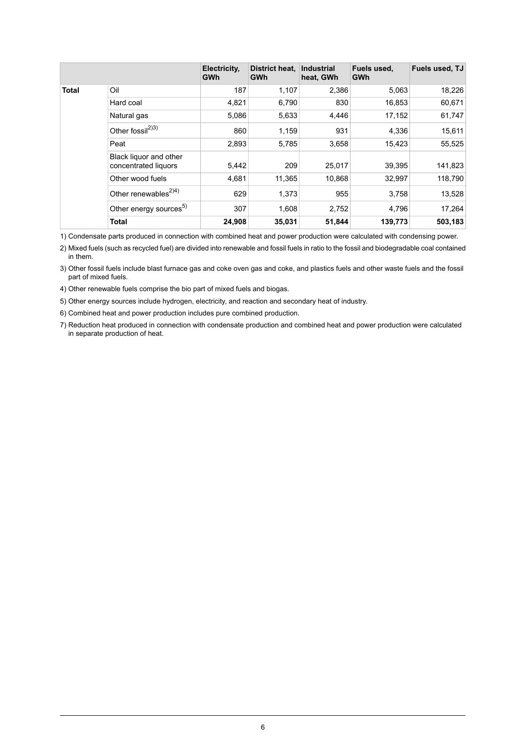|              |                                                | Electricity,<br><b>GWh</b> | District heat.<br><b>GWh</b> | <b>Industrial</b><br>heat, GWh | Fuels used,<br>GWh | Fuels used, TJ |
|--------------|------------------------------------------------|----------------------------|------------------------------|--------------------------------|--------------------|----------------|
| <b>Total</b> | Oil                                            | 187                        | 1,107                        | 2,386                          | 5,063              | 18,226         |
|              | Hard coal                                      | 4,821                      | 6,790                        | 830                            | 16,853             | 60,671         |
|              | Natural gas                                    | 5,086                      | 5,633                        | 4,446                          | 17,152             | 61,747         |
|              | Other fossil <sup>2)3)</sup>                   | 860                        | 1,159                        | 931                            | 4,336              | 15,611         |
|              | Peat                                           | 2,893                      | 5,785                        | 3,658                          | 15,423             | 55,525         |
|              | Black liquor and other<br>concentrated liquors | 5,442                      | 209                          | 25,017                         | 39,395             | 141,823        |
|              | Other wood fuels                               | 4,681                      | 11,365                       | 10,868                         | 32,997             | 118,790        |
|              | Other renewables <sup><math>2)4)</math></sup>  | 629                        | 1,373                        | 955                            | 3,758              | 13,528         |
|              | Other energy sources <sup>5)</sup>             | 307                        | 1,608                        | 2,752                          | 4,796              | 17,264         |
|              | <b>Total</b>                                   | 24,908                     | 35,031                       | 51,844                         | 139,773            | 503,183        |

1) Condensate parts produced in connection with combined heat and power production were calculated with condensing power.

Mixed fuels (such as recycled fuel) are divided into renewable and fossil fuels in ratio to the fossil and biodegradable coal contained 2) in them.

Other fossil fuels include blast furnace gas and coke oven gas and coke, and plastics fuels and other waste fuels and the fossil 3) part of mixed fuels.

4) Other renewable fuels comprise the bio part of mixed fuels and biogas.

5) Other energy sources include hydrogen, electricity, and reaction and secondary heat of industry.

6) Combined heat and power production includes pure combined production.

7) Reduction heat produced in connection with condensate production and combined heat and power production were calculated in separate production of heat.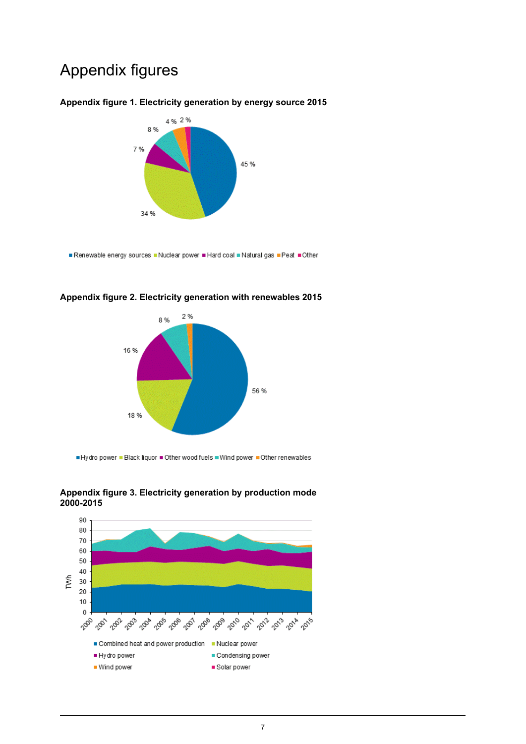## Appendix figures

#### <span id="page-6-0"></span>**Appendix figure 1. Electricity generation by energy source 2015**



<span id="page-6-1"></span>Renewable energy sources .Nuclear power Hard coal Natural gas Peat Other



#### **Appendix figure 2. Electricity generation with renewables 2015**

<span id="page-6-2"></span>Hydro power . Black liquor . Other wood fuels . Wind power . Other renewables



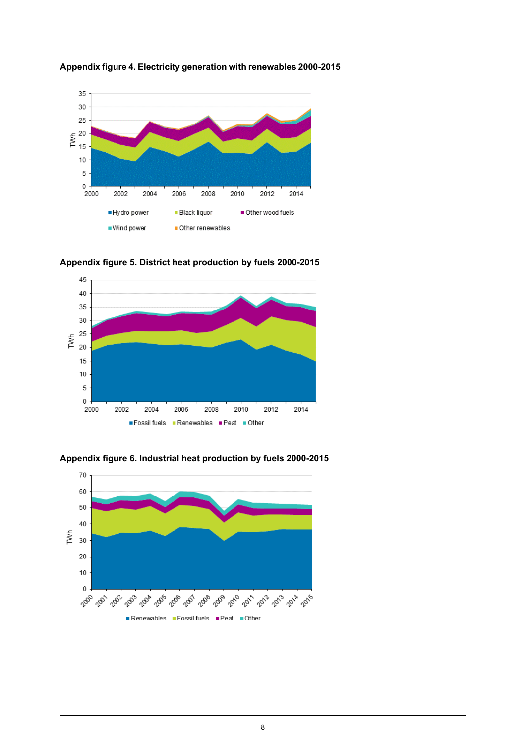

<span id="page-7-0"></span>**Appendix figure 4. Electricity generation with renewables 2000-2015**

<span id="page-7-1"></span>**Appendix figure 5. District heat production by fuels 2000-2015**



<span id="page-7-2"></span>**Appendix figure 6. Industrial heat production by fuels 2000-2015**

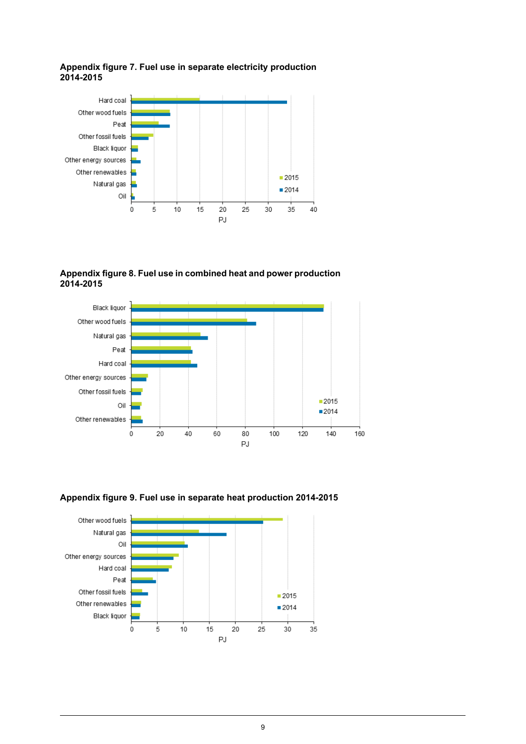#### <span id="page-8-0"></span>**Appendix figure 7. Fuel use in separate electricity production 2014-2015**



<span id="page-8-1"></span>**Appendix figure 8. Fuel use in combined heat and power production 2014-2015**



<span id="page-8-2"></span>